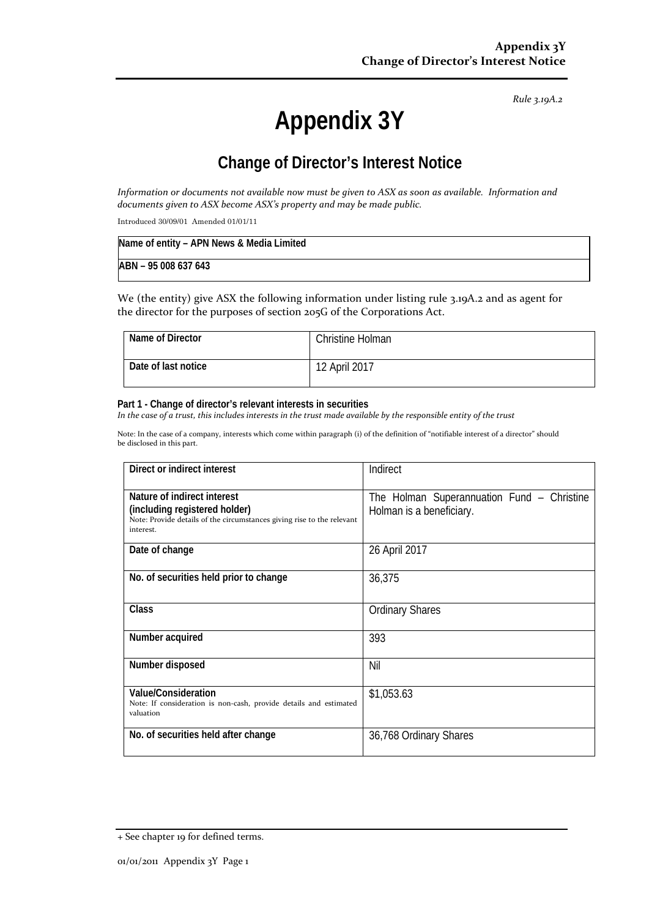*Rule 3.19A.2*

# **Appendix 3Y**

# **Change of Director's Interest Notice**

*Information or documents not available now must be given to ASX as soon as available. Information and documents given to ASX become ASX's property and may be made public.*

Introduced 30/09/01 Amended 01/01/11

| Name of entity - APN News & Media Limited |  |
|-------------------------------------------|--|
| ABN - 95 008 637 643                      |  |

We (the entity) give ASX the following information under listing rule 3.19A.2 and as agent for the director for the purposes of section 205G of the Corporations Act.

| Name of Director    | Christine Holman |
|---------------------|------------------|
| Date of last notice | 12 April 2017    |

#### **Part 1 - Change of director's relevant interests in securities**

*In the case of a trust, this includes interests in the trust made available by the responsible entity of the trust*

Note: In the case of a company, interests which come within paragraph (i) of the definition of "notifiable interest of a director" should be disclosed in this part.

| Direct or indirect interest                                                                                  | Indirect                                                               |
|--------------------------------------------------------------------------------------------------------------|------------------------------------------------------------------------|
| Nature of indirect interest<br>(including registered holder)                                                 | The Holman Superannuation Fund – Christine<br>Holman is a beneficiary. |
| Note: Provide details of the circumstances giving rise to the relevant<br>interest.                          |                                                                        |
| Date of change                                                                                               | 26 April 2017                                                          |
| No. of securities held prior to change                                                                       | 36,375                                                                 |
| Class                                                                                                        | <b>Ordinary Shares</b>                                                 |
| Number acquired                                                                                              | 393                                                                    |
| Number disposed                                                                                              | Nil                                                                    |
| <b>Value/Consideration</b><br>Note: If consideration is non-cash, provide details and estimated<br>valuation | \$1,053.63                                                             |
| No. of securities held after change                                                                          | 36,768 Ordinary Shares                                                 |

<sup>+</sup> See chapter 19 for defined terms.